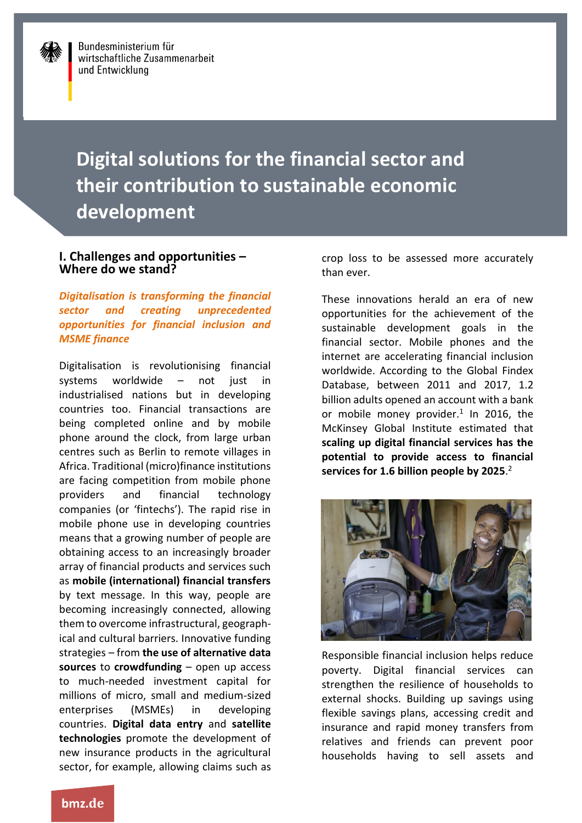# **Digital solutions for the financial sector and their contribution to sustainable economic development**

#### **I. Challenges and opportunities – Where do we stand?**

*Digitalisation is transforming the financial sector and creating unprecedented opportunities for financial inclusion and MSME finance*

Digitalisation is revolutionising financial systems worldwide – not just in industrialised nations but in developing countries too. Financial transactions are being completed online and by mobile phone around the clock, from large urban centres such as Berlin to remote villages in Africa. Traditional (micro)finance institutions are facing competition from mobile phone providers and financial technology companies (or 'fintechs'). The rapid rise in mobile phone use in developing countries means that a growing number of people are obtaining access to an increasingly broader array of financial products and services such as **mobile (international) financial transfers**  by text message. In this way, people are becoming increasingly connected, allowing them to overcome infrastructural, geographical and cultural barriers. Innovative funding strategies – from **the use of alternative data sources** to **crowdfunding** – open up access to much-needed investment capital for millions of micro, small and medium-sized enterprises (MSMEs) in developing countries. **Digital data entry** and **satellite technologies** promote the development of new insurance products in the agricultural sector, for example, allowing claims such as

crop loss to be assessed more accurately than ever.

These innovations herald an era of new opportunities for the achievement of the sustainable development goals in the financial sector. Mobile phones and the internet are accelerating financial inclusion worldwide. According to the Global Findex Database, between 2011 and 2017, 1.2 billion adults opened an account with a bank or mobile money provider. $1$  In 2016, the McKinsey Global Institute estimated that **scaling up digital financial services has the potential to provide access to financial services for 1.6 billion people by 2025**. 2



Responsible financial inclusion helps reduce poverty. Digital financial services can strengthen the resilience of households to external shocks. Building up savings using flexible savings plans, accessing credit and insurance and rapid money transfers from relatives and friends can prevent poor households having to sell assets and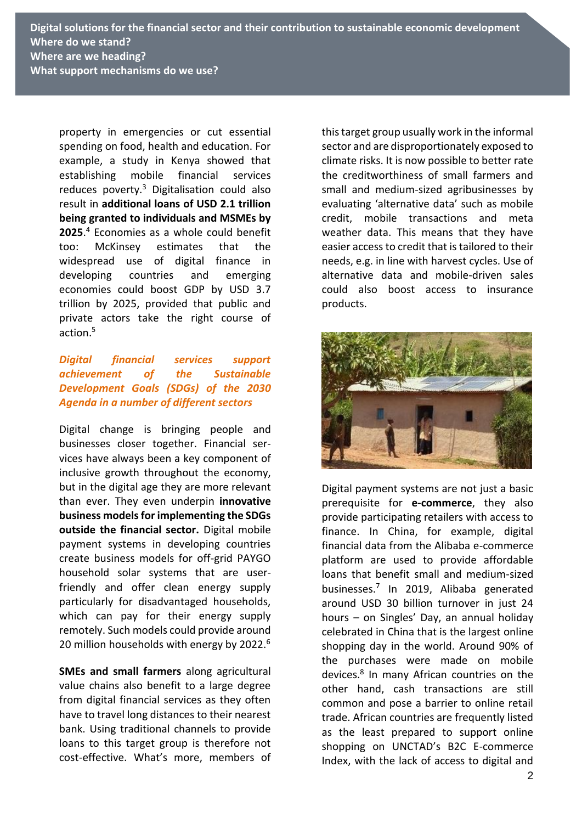property in emergencies or cut essential spending on food, health and education. For example, a study in Kenya showed that establishing mobile financial services reduces poverty.<sup>3</sup> Digitalisation could also result in **additional loans of USD 2.1 trillion being granted to individuals and MSMEs by 2025**. <sup>4</sup> Economies as a whole could benefit too: McKinsey estimates that the widespread use of digital finance in developing countries and emerging economies could boost GDP by USD 3.7 trillion by 2025, provided that public and private actors take the right course of action.<sup>5</sup>

#### *Digital financial services support achievement of the Sustainable Development Goals (SDGs) of the 2030 Agenda in a number of different sectors*

Digital change is bringing people and businesses closer together. Financial services have always been a key component of inclusive growth throughout the economy, but in the digital age they are more relevant than ever. They even underpin **innovative business models for implementing the SDGs outside the financial sector.** Digital mobile payment systems in developing countries create business models for off-grid PAYGO household solar systems that are userfriendly and offer clean energy supply particularly for disadvantaged households, which can pay for their energy supply remotely. Such models could provide around 20 million households with energy by 2022.<sup>6</sup>

**SMEs and small farmers** along agricultural value chains also benefit to a large degree from digital financial services as they often have to travel long distances to their nearest bank. Using traditional channels to provide loans to this target group is therefore not cost-effective. What's more, members of this target group usually work in the informal sector and are disproportionately exposed to climate risks. It is now possible to better rate the creditworthiness of small farmers and small and medium-sized agribusinesses by evaluating 'alternative data' such as mobile credit, mobile transactions and meta weather data. This means that they have easier access to credit that is tailored to their needs, e.g. in line with harvest cycles. Use of alternative data and mobile-driven sales could also boost access to insurance products.



Digital payment systems are not just a basic prerequisite for **e-commerce**, they also provide participating retailers with access to finance. In China, for example, digital financial data from the Alibaba e-commerce platform are used to provide affordable loans that benefit small and medium-sized businesses. 7 In 2019, Alibaba generated around USD 30 billion turnover in just 24 hours – on Singles' Day, an annual holiday celebrated in China that is the largest online shopping day in the world. Around 90% of the purchases were made on mobile devices.<sup>8</sup> In many African countries on the other hand, cash transactions are still common and pose a barrier to online retail trade. African countries are frequently listed as the least prepared to support online shopping on UNCTAD's B2C E-commerce Index, with the lack of access to digital and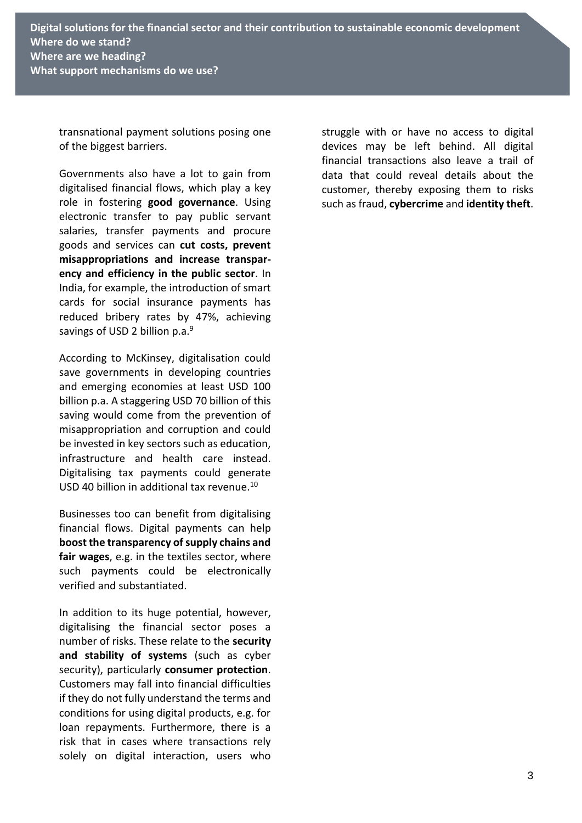transnational payment solutions posing one of the biggest barriers.

Governments also have a lot to gain from digitalised financial flows, which play a key role in fostering **good governance**. Using electronic transfer to pay public servant salaries, transfer payments and procure goods and services can **cut costs, prevent misappropriations and increase transparency and efficiency in the public sector**. In India, for example, the introduction of smart cards for social insurance payments has reduced bribery rates by 47%, achieving savings of USD 2 billion p.a.<sup>9</sup>

According to McKinsey, digitalisation could save governments in developing countries and emerging economies at least USD 100 billion p.a. A staggering USD 70 billion of this saving would come from the prevention of misappropriation and corruption and could be invested in key sectors such as education, infrastructure and health care instead. Digitalising tax payments could generate USD 40 billion in additional tax revenue.<sup>10</sup>

Businesses too can benefit from digitalising financial flows. Digital payments can help **boost the transparency of supply chains and fair wages**, e.g. in the textiles sector, where such payments could be electronically verified and substantiated.

In addition to its huge potential, however, digitalising the financial sector poses a number of risks. These relate to the **security and stability of systems** (such as cyber security), particularly **consumer protection**. Customers may fall into financial difficulties if they do not fully understand the terms and conditions for using digital products, e.g. for loan repayments. Furthermore, there is a risk that in cases where transactions rely solely on digital interaction, users who

struggle with or have no access to digital devices may be left behind. All digital financial transactions also leave a trail of data that could reveal details about the customer, thereby exposing them to risks such as fraud, **cybercrime** and **identity theft**.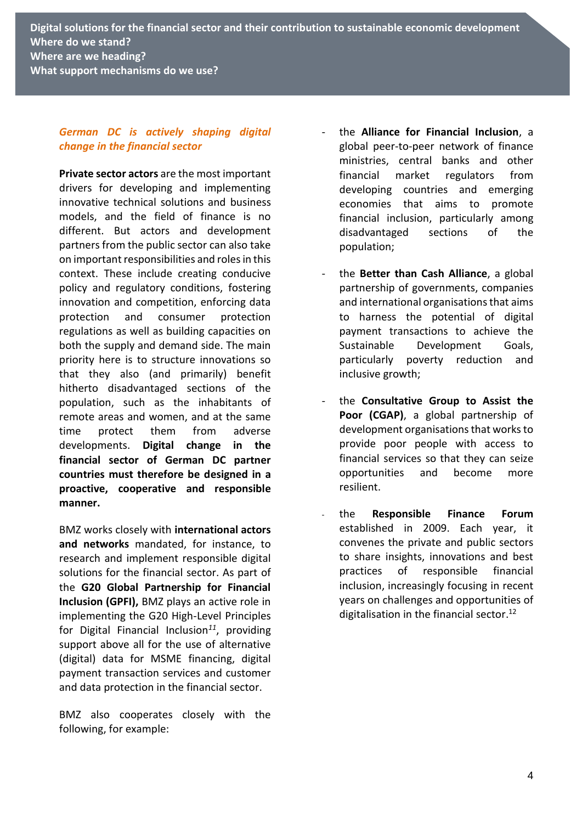#### *German DC is actively shaping digital change in the financial sector*

**Private sector actors** are the most important drivers for developing and implementing innovative technical solutions and business models, and the field of finance is no different. But actors and development partners from the public sector can also take on important responsibilities and roles in this context. These include creating conducive policy and regulatory conditions, fostering innovation and competition, enforcing data protection and consumer protection regulations as well as building capacities on both the supply and demand side. The main priority here is to structure innovations so that they also (and primarily) benefit hitherto disadvantaged sections of the population, such as the inhabitants of remote areas and women, and at the same time protect them from adverse developments. **Digital change in the financial sector of German DC partner countries must therefore be designed in a proactive, cooperative and responsible manner.**

BMZ works closely with **international actors and networks** mandated, for instance, to research and implement responsible digital solutions for the financial sector. As part of the **G20 Global Partnership for Financial Inclusion (GPFI),** BMZ plays an active role in implementing the G20 High-Level Principles for Digital Financial Inclusion*<sup>11</sup>*, providing support above all for the use of alternative (digital) data for MSME financing, digital payment transaction services and customer and data protection in the financial sector.

BMZ also cooperates closely with the following, for example:

- the **Alliance for Financial Inclusion**, a global peer-to-peer network of finance ministries, central banks and other financial market regulators from developing countries and emerging economies that aims to promote financial inclusion, particularly among disadvantaged sections of the population;
- the **Better than Cash Alliance**, a global partnership of governments, companies and international organisations that aims to harness the potential of digital payment transactions to achieve the Sustainable Development Goals, particularly poverty reduction and inclusive growth;
- the **Consultative Group to Assist the Poor (CGAP)**, a global partnership of development organisations that works to provide poor people with access to financial services so that they can seize opportunities and become more resilient.
- the **Responsible Finance Forum** established in 2009. Each year, it convenes the private and public sectors to share insights, innovations and best practices of responsible financial inclusion, increasingly focusing in recent years on challenges and opportunities of digitalisation in the financial sector.<sup>12</sup>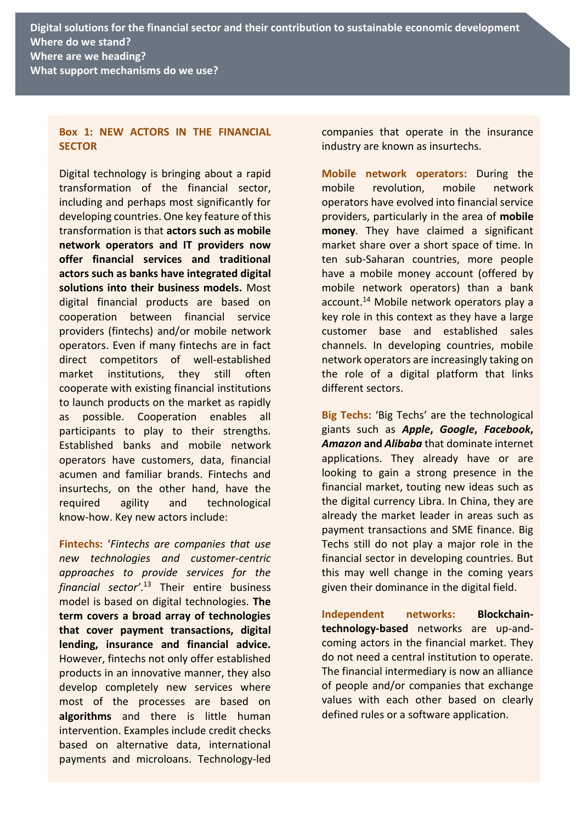**Digital solutions for the financial sector and their contribution to sustainable economic development Where do we stand? Where are we heading? What support mechanisms do we use?**

#### **Box 1: NEW ACTORS IN THE FINANCIAL SECTOR**

Digital technology is bringing about a rapid transformation of the financial sector, including and perhaps most significantly for developing countries. One key feature of this transformation is that **actors such as mobile network operators and IT providers now offer financial services and traditional actors such as banks have integrated digital solutions into their business models.** Most digital financial products are based on cooperation between financial service providers (fintechs) and/or mobile network operators. Even if many fintechs are in fact direct competitors of well-established market institutions, they still often cooperate with existing financial institutions to launch products on the market as rapidly as possible. Cooperation enables all participants to play to their strengths. Established banks and mobile network operators have customers, data, financial acumen and familiar brands. Fintechs and insurtechs, on the other hand, have the required agility and technological know-how. Key new actors include:

**Fintechs:** '*Fintechs are companies that use new technologies and customer-centric approaches to provide services for the financial sector'*. <sup>13</sup> Their entire business model is based on digital technologies. **The term covers a broad array of technologies that cover payment transactions, digital lending, insurance and financial advice.** However, fintechs not only offer established products in an innovative manner, they also develop completely new services where most of the processes are based on **algorithms** and there is little human intervention. Examples include credit checks based on alternative data, international payments and microloans. Technology-led

companies that operate in the insurance industry are known as insurtechs.

**Mobile network operators:** During the mobile revolution, mobile network operators have evolved into financial service providers, particularly in the area of **mobile money**. They have claimed a significant market share over a short space of time. In ten sub-Saharan countries, more people have a mobile money account (offered by mobile network operators) than a bank account.<sup>14</sup> Mobile network operators play a key role in this context as they have a large customer base and established sales channels. In developing countries, mobile network operators are increasingly taking on the role of a digital platform that links different sectors.

**Big Techs:** 'Big Techs' are the technological giants such as *Apple***,** *Google***,** *Facebook***,**  *Amazon* **and** *Alibaba* that dominate internet applications. They already have or are looking to gain a strong presence in the financial market, touting new ideas such as the digital currency Libra. In China, they are already the market leader in areas such as payment transactions and SME finance. Big Techs still do not play a major role in the financial sector in developing countries. But this may well change in the coming years given their dominance in the digital field.

**Independent networks: Blockchaintechnology-based** networks are up-andcoming actors in the financial market. They do not need a central institution to operate. The financial intermediary is now an alliance of people and/or companies that exchange values with each other based on clearly defined rules or a software application.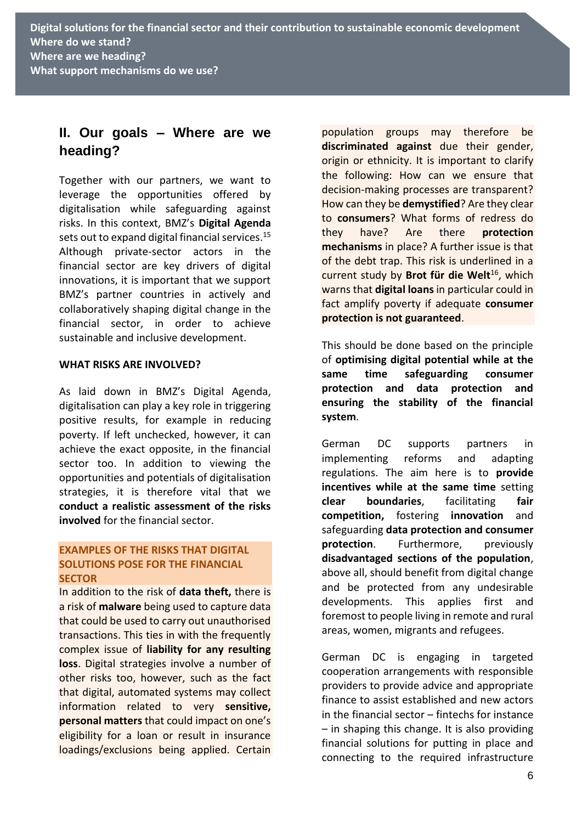# **II. Our goals – Where are we heading?**

Together with our partners, we want to leverage the opportunities offered by digitalisation while safeguarding against risks. In this context, BMZ's **Digital Agenda**  sets out to expand digital financial services. 15 Although private-sector actors in the financial sector are key drivers of digital innovations, it is important that we support BMZ's partner countries in actively and collaboratively shaping digital change in the financial sector, in order to achieve sustainable and inclusive development.

#### **WHAT RISKS ARE INVOLVED?**

As laid down in BMZ's Digital Agenda, digitalisation can play a key role in triggering positive results, for example in reducing poverty. If left unchecked, however, it can achieve the exact opposite, in the financial sector too. In addition to viewing the opportunities and potentials of digitalisation strategies, it is therefore vital that we **conduct a realistic assessment of the risks involved** for the financial sector.

#### **EXAMPLES OF THE RISKS THAT DIGITAL SOLUTIONS POSE FOR THE FINANCIAL SECTOR**

In addition to the risk of **data theft,** there is a risk of **malware** being used to capture data that could be used to carry out unauthorised transactions. This ties in with the frequently complex issue of **liability for any resulting loss**. Digital strategies involve a number of other risks too, however, such as the fact that digital, automated systems may collect information related to very **sensitive, personal matters** that could impact on one's eligibility for a loan or result in insurance loadings/exclusions being applied. Certain population groups may therefore be **discriminated against** due their gender, origin or ethnicity. It is important to clarify the following: How can we ensure that decision-making processes are transparent? How can they be **demystified**? Are they clear to **consumers**? What forms of redress do they have? Are there **protection mechanisms** in place? A further issue is that of the debt trap. This risk is underlined in a current study by **Brot für die Welt**<sup>16</sup>, which warns that **digital loans** in particular could in fact amplify poverty if adequate **consumer protection is not guaranteed**.

This should be done based on the principle of **optimising digital potential while at the same time safeguarding consumer protection and data protection and ensuring the stability of the financial system**.

German DC supports partners in implementing reforms and adapting regulations. The aim here is to **provide incentives while at the same time** setting **clear boundaries**, facilitating **fair competition,** fostering **innovation** and safeguarding **data protection and consumer protection.** Furthermore, previously **disadvantaged sections of the population**, above all, should benefit from digital change and be protected from any undesirable developments. This applies first and foremost to people living in remote and rural areas, women, migrants and refugees.

German DC is engaging in targeted cooperation arrangements with responsible providers to provide advice and appropriate finance to assist established and new actors in the financial sector – fintechs for instance – in shaping this change. It is also providing financial solutions for putting in place and connecting to the required infrastructure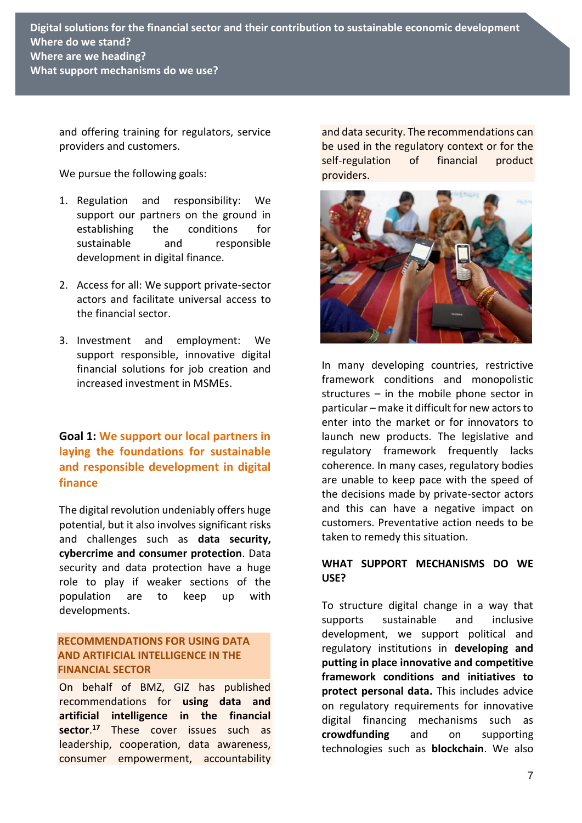and offering training for regulators, service providers and customers.

We pursue the following goals:

- 1. Regulation and responsibility: We support our partners on the ground in establishing the conditions for sustainable and responsible development in digital finance.
- 2. Access for all: We support private-sector actors and facilitate universal access to the financial sector.
- 3. Investment and employment: We support responsible, innovative digital financial solutions for job creation and increased investment in MSMEs.

# **Goal 1: We support our local partners in laying the foundations for sustainable and responsible development in digital finance**

The digital revolution undeniably offers huge potential, but it also involves significant risks and challenges such as **data security, cybercrime and consumer protection**. Data security and data protection have a huge role to play if weaker sections of the population are to keep up with developments.

#### **RECOMMENDATIONS FOR USING DATA AND ARTIFICIAL INTELLIGENCE IN THE FINANCIAL SECTOR**

On behalf of BMZ, GIZ has published recommendations for **using data and artificial intelligence in the financial sector**. **<sup>17</sup>** These cover issues such as leadership, cooperation, data awareness, consumer empowerment, accountability and data security. The recommendations can be used in the regulatory context or for the self-regulation of financial product providers.



In many developing countries, restrictive framework conditions and monopolistic structures – in the mobile phone sector in particular – make it difficult for new actors to enter into the market or for innovators to launch new products. The legislative and regulatory framework frequently lacks coherence. In many cases, regulatory bodies are unable to keep pace with the speed of the decisions made by private-sector actors and this can have a negative impact on customers. Preventative action needs to be taken to remedy this situation.

#### **WHAT SUPPORT MECHANISMS DO WE USE?**

To structure digital change in a way that supports sustainable and inclusive development, we support political and regulatory institutions in **developing and putting in place innovative and competitive framework conditions and initiatives to protect personal data.** This includes advice on regulatory requirements for innovative digital financing mechanisms such as **crowdfunding** and on supporting technologies such as **blockchain**. We also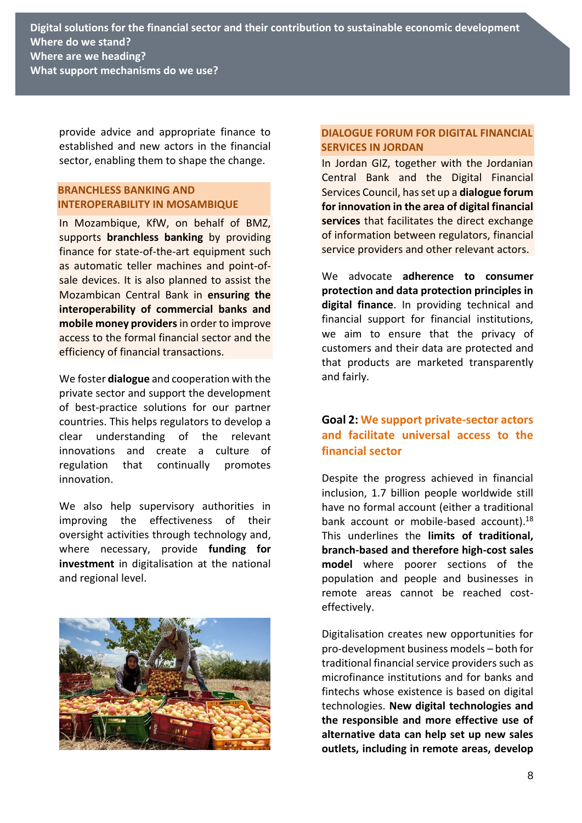provide advice and appropriate finance to established and new actors in the financial sector, enabling them to shape the change.

#### **BRANCHLESS BANKING AND INTEROPERABILITY IN MOSAMBIQUE**

In Mozambique, KfW, on behalf of BMZ, supports **branchless banking** by providing finance for state-of-the-art equipment such as automatic teller machines and point-ofsale devices. It is also planned to assist the Mozambican Central Bank in **ensuring the interoperability of commercial banks and mobile money providers** in order to improve access to the formal financial sector and the efficiency of financial transactions.

We foster **dialogue** and cooperation with the private sector and support the development of best-practice solutions for our partner countries. This helps regulators to develop a clear understanding of the relevant innovations and create a culture of regulation that continually promotes innovation.

We also help supervisory authorities in improving the effectiveness of their oversight activities through technology and, where necessary, provide **funding for investment** in digitalisation at the national and regional level.



#### **DIALOGUE FORUM FOR DIGITAL FINANCIAL SERVICES IN JORDAN**

In Jordan GIZ, together with the Jordanian Central Bank and the Digital Financial Services Council, has set up a **dialogue forum for innovation in the area of digital financial services** that facilitates the direct exchange of information between regulators, financial service providers and other relevant actors.

We advocate **adherence to consumer protection and data protection principles in digital finance**. In providing technical and financial support for financial institutions, we aim to ensure that the privacy of customers and their data are protected and that products are marketed transparently and fairly.

# **Goal 2: We support private-sector actors and facilitate universal access to the financial sector**

Despite the progress achieved in financial inclusion, 1.7 billion people worldwide still have no formal account (either a traditional bank account or mobile-based account).<sup>18</sup> This underlines the **limits of traditional, branch-based and therefore high-cost sales model** where poorer sections of the population and people and businesses in remote areas cannot be reached costeffectively.

Digitalisation creates new opportunities for pro-development business models – both for traditional financial service providers such as microfinance institutions and for banks and fintechs whose existence is based on digital technologies. **New digital technologies and the responsible and more effective use of alternative data can help set up new sales outlets, including in remote areas, develop**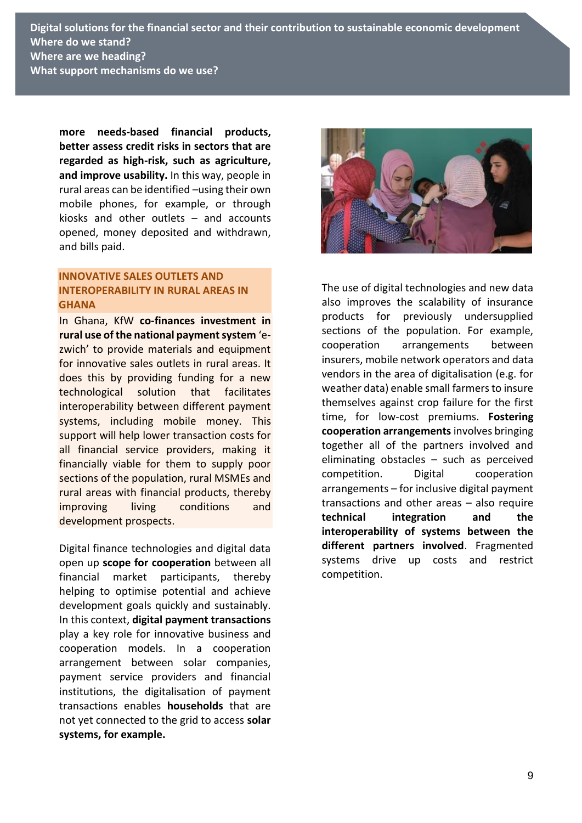**Digital solutions for the financial sector and their contribution to sustainable economic development Where do we stand? Where are we heading? What support mechanisms do we use?**

**more needs-based financial products, better assess credit risks in sectors that are regarded as high-risk, such as agriculture, and improve usability.** In this way, people in rural areas can be identified –using their own mobile phones, for example, or through kiosks and other outlets – and accounts opened, money deposited and withdrawn, and bills paid.

#### **INNOVATIVE SALES OUTLETS AND INTEROPERABILITY IN RURAL AREAS IN GHANA**

In Ghana, KfW **co-finances investment in rural use of the national payment system** 'ezwich' to provide materials and equipment for innovative sales outlets in rural areas. It does this by providing funding for a new technological solution that facilitates interoperability between different payment systems, including mobile money. This support will help lower transaction costs for all financial service providers, making it financially viable for them to supply poor sections of the population, rural MSMEs and rural areas with financial products, thereby improving living conditions and development prospects.

Digital finance technologies and digital data open up **scope for cooperation** between all financial market participants, thereby helping to optimise potential and achieve development goals quickly and sustainably. In this context, **digital payment transactions** play a key role for innovative business and cooperation models. In a cooperation arrangement between solar companies, payment service providers and financial institutions, the digitalisation of payment transactions enables **households** that are not yet connected to the grid to access **solar systems, for example.**



The use of digital technologies and new data also improves the scalability of insurance products for previously undersupplied sections of the population. For example, cooperation arrangements between insurers, mobile network operators and data vendors in the area of digitalisation (e.g. for weather data) enable small farmers to insure themselves against crop failure for the first time, for low-cost premiums. **Fostering cooperation arrangements** involves bringing together all of the partners involved and eliminating obstacles – such as perceived competition. Digital cooperation arrangements – for inclusive digital payment transactions and other areas – also require **technical integration and the interoperability of systems between the different partners involved**. Fragmented systems drive up costs and restrict competition.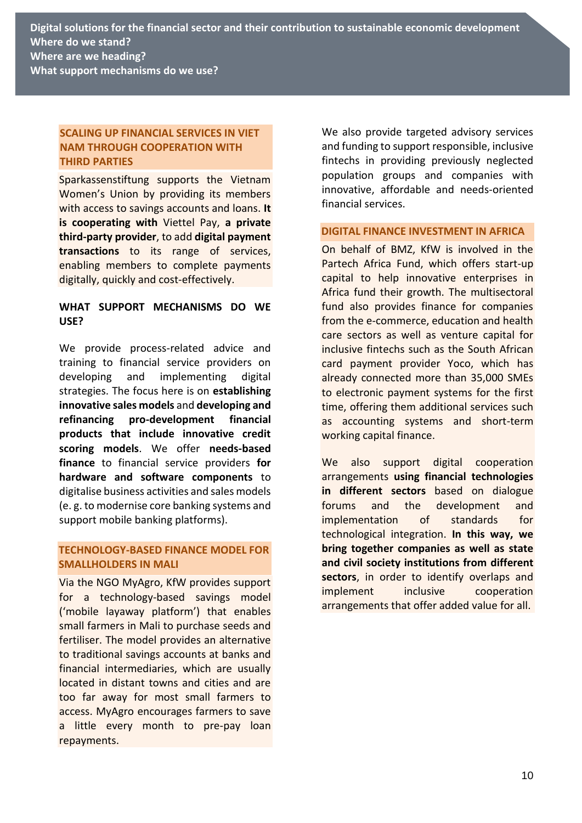#### **SCALING UP FINANCIAL SERVICES IN VIET NAM THROUGH COOPERATION WITH THIRD PARTIES**

Sparkassenstiftung supports the Vietnam Women's Union by providing its members with access to savings accounts and loans. **It is cooperating with** Viettel Pay, **a private third-party provider**, to add **digital payment transactions** to its range of services, enabling members to complete payments digitally, quickly and cost-effectively.

#### **WHAT SUPPORT MECHANISMS DO WE USE?**

We provide process-related advice and training to financial service providers on developing and implementing digital strategies. The focus here is on **establishing innovative sales models** and **developing and refinancing pro-development financial products that include innovative credit scoring models**. We offer **needs-based finance** to financial service providers **for hardware and software components** to digitalise business activities and sales models (e. g. to modernise core banking systems and support mobile banking platforms).

#### **TECHNOLOGY-BASED FINANCE MODEL FOR SMALLHOLDERS IN MALI**

Via the NGO MyAgro, KfW provides support for a technology-based savings model ('mobile layaway platform') that enables small farmers in Mali to purchase seeds and fertiliser. The model provides an alternative to traditional savings accounts at banks and financial intermediaries, which are usually located in distant towns and cities and are too far away for most small farmers to access. MyAgro encourages farmers to save a little every month to pre-pay loan repayments.

We also provide targeted advisory services and funding to support responsible, inclusive fintechs in providing previously neglected population groups and companies with innovative, affordable and needs-oriented financial services.

#### **DIGITAL FINANCE INVESTMENT IN AFRICA**

On behalf of BMZ, KfW is involved in the Partech Africa Fund, which offers start-up capital to help innovative enterprises in Africa fund their growth. The multisectoral fund also provides finance for companies from the e-commerce, education and health care sectors as well as venture capital for inclusive fintechs such as the South African card payment provider Yoco, which has already connected more than 35,000 SMEs to electronic payment systems for the first time, offering them additional services such as accounting systems and short-term working capital finance.

We also support digital cooperation arrangements **using financial technologies in different sectors** based on dialogue forums and the development and implementation of standards for technological integration. **In this way, we bring together companies as well as state and civil society institutions from different sectors**, in order to identify overlaps and implement inclusive cooperation arrangements that offer added value for all.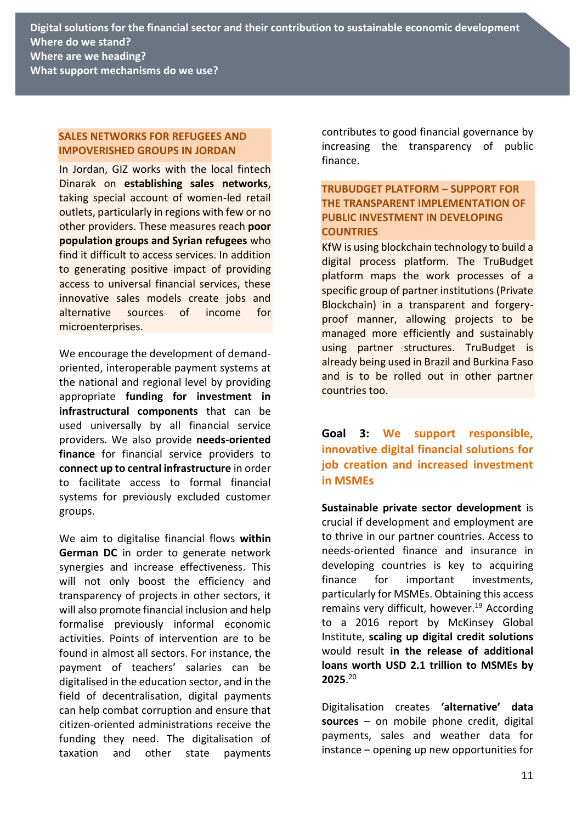#### **SALES NETWORKS FOR REFUGEES AND IMPOVERISHED GROUPS IN JORDAN**

In Jordan, GIZ works with the local fintech Dinarak on **establishing sales networks**, taking special account of women-led retail outlets, particularly in regions with few or no other providers. These measures reach **poor population groups and Syrian refugees** who find it difficult to access services. In addition to generating positive impact of providing access to universal financial services, these innovative sales models create jobs and alternative sources of income for microenterprises.

We encourage the development of demandoriented, interoperable payment systems at the national and regional level by providing appropriate **funding for investment in infrastructural components** that can be used universally by all financial service providers. We also provide **needs-oriented finance** for financial service providers to **connect up to central infrastructure** in order to facilitate access to formal financial systems for previously excluded customer groups.

We aim to digitalise financial flows **within German DC** in order to generate network synergies and increase effectiveness. This will not only boost the efficiency and transparency of projects in other sectors, it will also promote financial inclusion and help formalise previously informal economic activities. Points of intervention are to be found in almost all sectors. For instance, the payment of teachers' salaries can be digitalised in the education sector, and in the field of decentralisation, digital payments can help combat corruption and ensure that citizen-oriented administrations receive the funding they need. The digitalisation of taxation and other state payments

contributes to good financial governance by increasing the transparency of public finance.

#### **TRUBUDGET PLATFORM – SUPPORT FOR THE TRANSPARENT IMPLEMENTATION OF PUBLIC INVESTMENT IN DEVELOPING COUNTRIES**

KfW is using blockchain technology to build a digital process platform. The TruBudget platform maps the work processes of a specific group of partner institutions (Private Blockchain) in a transparent and forgeryproof manner, allowing projects to be managed more efficiently and sustainably using partner structures. TruBudget is already being used in Brazil and Burkina Faso and is to be rolled out in other partner countries too.

**Goal 3: We support responsible, innovative digital financial solutions for job creation and increased investment in MSMEs**

**Sustainable private sector development** is crucial if development and employment are to thrive in our partner countries. Access to needs-oriented finance and insurance in developing countries is key to acquiring finance for important investments, particularly for MSMEs. Obtaining this access remains very difficult, however. <sup>19</sup> According to a 2016 report by McKinsey Global Institute, **scaling up digital credit solutions**  would result **in the release of additional loans worth USD 2.1 trillion to MSMEs by 2025**. 20

Digitalisation creates **'alternative' data sources** – on mobile phone credit, digital payments, sales and weather data for instance – opening up new opportunities for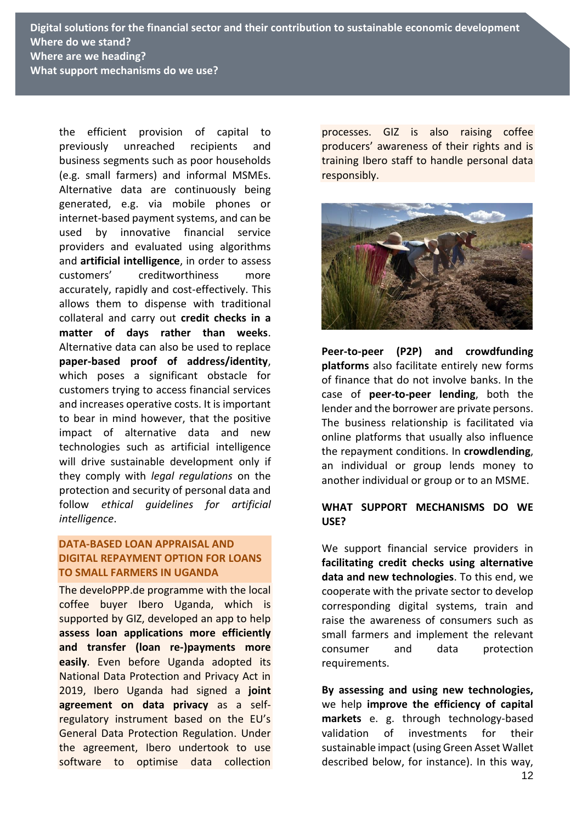**Digital solutions for the financial sector and their contribution to sustainable economic development Where do we stand? Where are we heading? What support mechanisms do we use?**

the efficient provision of capital to previously unreached recipients and business segments such as poor households (e.g. small farmers) and informal MSMEs. Alternative data are continuously being generated, e.g. via mobile phones or internet-based payment systems, and can be used by innovative financial service providers and evaluated using algorithms and **artificial intelligence**, in order to assess customers' creditworthiness more accurately, rapidly and cost-effectively. This allows them to dispense with traditional collateral and carry out **credit checks in a matter of days rather than weeks**. Alternative data can also be used to replace **paper-based proof of address/identity**, which poses a significant obstacle for customers trying to access financial services and increases operative costs. It is important to bear in mind however, that the positive impact of alternative data and new technologies such as artificial intelligence will drive sustainable development only if they comply with *legal regulations* on the protection and security of personal data and follow *ethical guidelines for artificial intelligence*.

#### **DATA-BASED LOAN APPRAISAL AND DIGITAL REPAYMENT OPTION FOR LOANS TO SMALL FARMERS IN UGANDA**

The develoPPP.de programme with the local coffee buyer Ibero Uganda, which is supported by GIZ, developed an app to help **assess loan applications more efficiently and transfer (loan re-)payments more easily**. Even before Uganda adopted its National Data Protection and Privacy Act in 2019, Ibero Uganda had signed a **joint agreement on data privacy** as a selfregulatory instrument based on the EU's General Data Protection Regulation. Under the agreement, Ibero undertook to use software to optimise data collection processes. GIZ is also raising coffee producers' awareness of their rights and is training Ibero staff to handle personal data responsibly.



**Peer-to-peer (P2P) and crowdfunding platforms** also facilitate entirely new forms of finance that do not involve banks. In the case of **peer-to-peer lending**, both the lender and the borrower are private persons. The business relationship is facilitated via online platforms that usually also influence the repayment conditions. In **crowdlending**, an individual or group lends money to another individual or group or to an MSME.

#### **WHAT SUPPORT MECHANISMS DO WE USE?**

We support financial service providers in **facilitating credit checks using alternative data and new technologies**. To this end, we cooperate with the private sector to develop corresponding digital systems, train and raise the awareness of consumers such as small farmers and implement the relevant consumer and data protection requirements.

**By assessing and using new technologies,** we help **improve the efficiency of capital markets** e. g. through technology-based validation of investments for their sustainable impact (using Green Asset Wallet described below, for instance). In this way,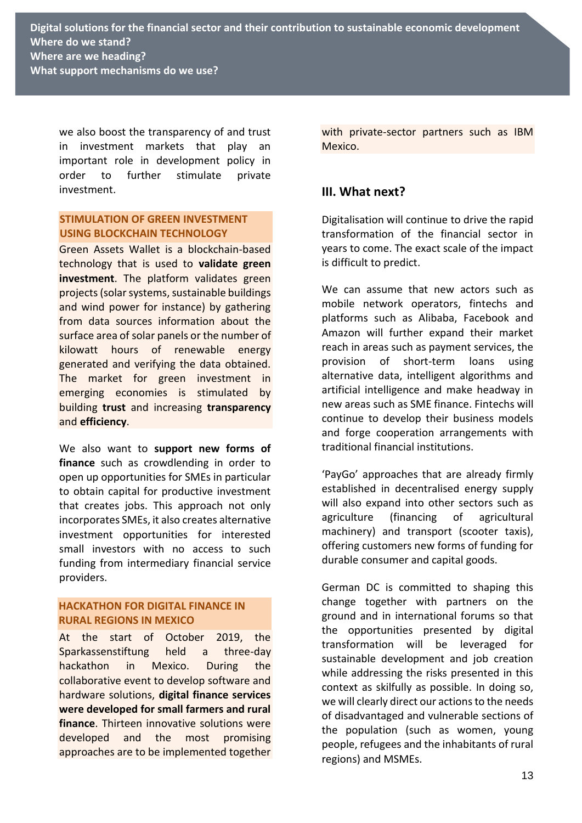we also boost the transparency of and trust in investment markets that play an important role in development policy in order to further stimulate private investment.

#### **STIMULATION OF GREEN INVESTMENT USING BLOCKCHAIN TECHNOLOGY**

Green Assets Wallet is a blockchain-based technology that is used to **validate green investment**. The platform validates green projects (solar systems, sustainable buildings and wind power for instance) by gathering from data sources information about the surface area of solar panels or the number of kilowatt hours of renewable energy generated and verifying the data obtained. The market for green investment in emerging economies is stimulated by building **trust** and increasing **transparency** and **efficiency**.

We also want to **support new forms of finance** such as crowdlending in order to open up opportunities for SMEs in particular to obtain capital for productive investment that creates jobs. This approach not only incorporates SMEs, it also creates alternative investment opportunities for interested small investors with no access to such funding from intermediary financial service providers.

#### **HACKATHON FOR DIGITAL FINANCE IN RURAL REGIONS IN MEXICO**

At the start of October 2019, the Sparkassenstiftung held a three-day hackathon in Mexico. During the collaborative event to develop software and hardware solutions, **digital finance services were developed for small farmers and rural finance**. Thirteen innovative solutions were developed and the most promising approaches are to be implemented together with private-sector partners such as IBM Mexico.

# **III. What next?**

Digitalisation will continue to drive the rapid transformation of the financial sector in years to come. The exact scale of the impact is difficult to predict.

We can assume that new actors such as mobile network operators, fintechs and platforms such as Alibaba, Facebook and Amazon will further expand their market reach in areas such as payment services, the provision of short-term loans using alternative data, intelligent algorithms and artificial intelligence and make headway in new areas such as SME finance. Fintechs will continue to develop their business models and forge cooperation arrangements with traditional financial institutions.

'PayGo' approaches that are already firmly established in decentralised energy supply will also expand into other sectors such as agriculture (financing of agricultural machinery) and transport (scooter taxis), offering customers new forms of funding for durable consumer and capital goods.

German DC is committed to shaping this change together with partners on the ground and in international forums so that the opportunities presented by digital transformation will be leveraged for sustainable development and job creation while addressing the risks presented in this context as skilfully as possible. In doing so, we will clearly direct our actions to the needs of disadvantaged and vulnerable sections of the population (such as women, young people, refugees and the inhabitants of rural regions) and MSMEs.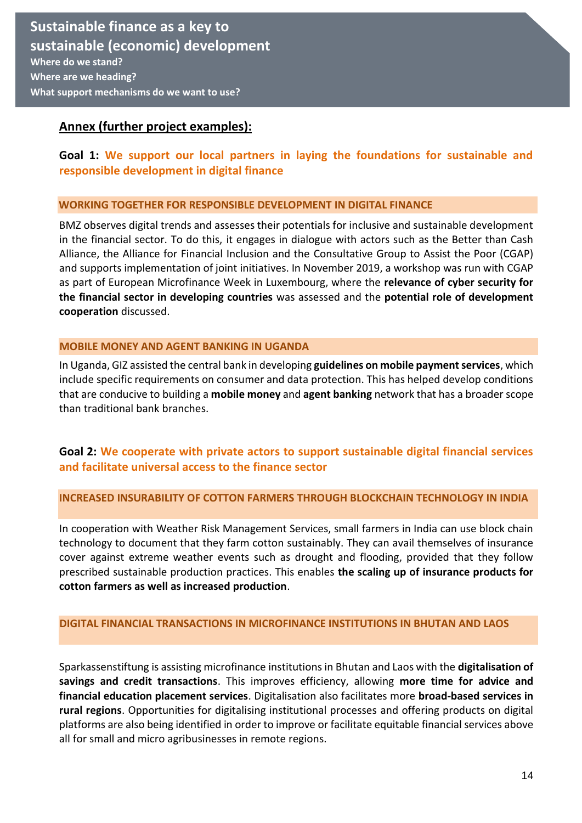## **Annex (further project examples):**

# **Goal 1: We support our local partners in laying the foundations for sustainable and responsible development in digital finance**

#### **WORKING TOGETHER FOR RESPONSIBLE DEVELOPMENT IN DIGITAL FINANCE**

BMZ observes digital trends and assesses their potentials for inclusive and sustainable development in the financial sector. To do this, it engages in dialogue with actors such as the Better than Cash Alliance, the Alliance for Financial Inclusion and the Consultative Group to Assist the Poor (CGAP) and supports implementation of joint initiatives. In November 2019, a workshop was run with CGAP as part of European Microfinance Week in Luxembourg, where the **relevance of cyber security for the financial sector in developing countries** was assessed and the **potential role of development cooperation** discussed.

#### **MOBILE MONEY AND AGENT BANKING IN UGANDA**

In Uganda, GIZ assisted the central bank in developing **guidelines on mobile payment services**, which include specific requirements on consumer and data protection. This has helped develop conditions that are conducive to building a **mobile money** and **agent banking** network that has a broader scope than traditional bank branches.

### **Goal 2: We cooperate with private actors to support sustainable digital financial services and facilitate universal access to the finance sector**

#### **INCREASED INSURABILITY OF COTTON FARMERS THROUGH BLOCKCHAIN TECHNOLOGY IN INDIA**

In cooperation with Weather Risk Management Services, small farmers in India can use block chain technology to document that they farm cotton sustainably. They can avail themselves of insurance cover against extreme weather events such as drought and flooding, provided that they follow prescribed sustainable production practices. This enables **the scaling up of insurance products for cotton farmers as well as increased production**.

#### **DIGITAL FINANCIAL TRANSACTIONS IN MICROFINANCE INSTITUTIONS IN BHUTAN AND LAOS**

Sparkassenstiftung is assisting microfinance institutions in Bhutan and Laos with the **digitalisation of savings and credit transactions**. This improves efficiency, allowing **more time for advice and financial education placement services**. Digitalisation also facilitates more **broad-based services in rural regions**. Opportunities for digitalising institutional processes and offering products on digital platforms are also being identified in order to improve or facilitate equitable financial services above all for small and micro agribusinesses in remote regions.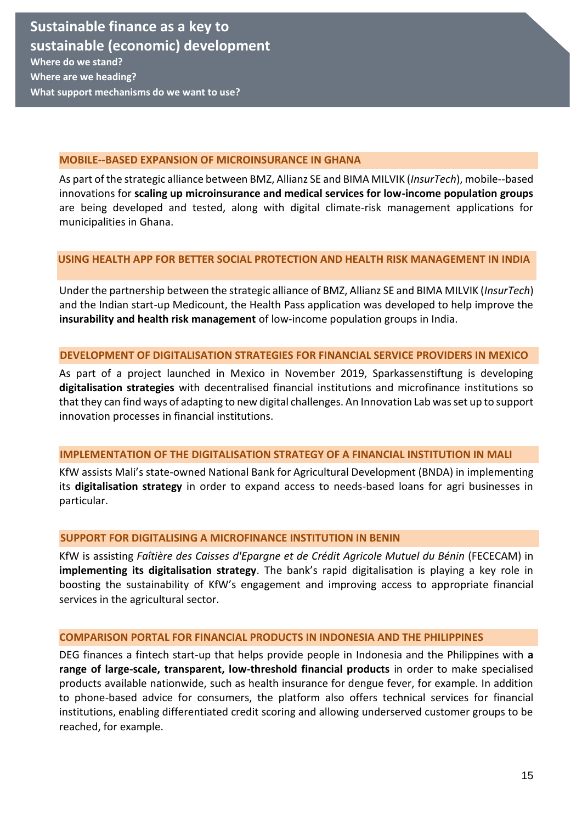**What support mechanisms do we want to use?** 

#### **MOBILE--BASED EXPANSION OF MICROINSURANCE IN GHANA**

As part of the strategic alliance between BMZ, Allianz SE and BIMA MILVIK (*InsurTech*), mobile--based innovations for **scaling up microinsurance and medical services for low-income population groups**  are being developed and tested, along with digital climate-risk management applications for municipalities in Ghana.

#### **USING HEALTH APP FOR BETTER SOCIAL PROTECTION AND HEALTH RISK MANAGEMENT IN INDIA**

Under the partnership between the strategic alliance of BMZ, Allianz SE and BIMA MILVIK (*InsurTech*) and the Indian start-up Medicount, the Health Pass application was developed to help improve the **insurability and health risk management** of low-income population groups in India.

#### **DEVELOPMENT OF DIGITALISATION STRATEGIES FOR FINANCIAL SERVICE PROVIDERS IN MEXICO**

As part of a project launched in Mexico in November 2019, Sparkassenstiftung is developing **digitalisation strategies** with decentralised financial institutions and microfinance institutions so that they can find ways of adapting to new digital challenges. An Innovation Lab was set up to support innovation processes in financial institutions.

#### **IMPLEMENTATION OF THE DIGITALISATION STRATEGY OF A FINANCIAL INSTITUTION IN MALI**

KfW assists Mali's state-owned National Bank for Agricultural Development (BNDA) in implementing its **digitalisation strategy** in order to expand access to needs-based loans for agri businesses in particular.

#### **SUPPORT FOR DIGITALISING A MICROFINANCE INSTITUTION IN BENIN**

KfW is assisting *Faîtière des Caisses d'Epargne et de Crédit Agricole Mutuel du Bénin* (FECECAM) in **implementing its digitalisation strategy**. The bank's rapid digitalisation is playing a key role in boosting the sustainability of KfW's engagement and improving access to appropriate financial services in the agricultural sector.

#### **COMPARISON PORTAL FOR FINANCIAL PRODUCTS IN INDONESIA AND THE PHILIPPINES**

DEG finances a fintech start-up that helps provide people in Indonesia and the Philippines with **a range of large-scale, transparent, low-threshold financial products** in order to make specialised products available nationwide, such as health insurance for dengue fever, for example. In addition to phone-based advice for consumers, the platform also offers technical services for financial institutions, enabling differentiated credit scoring and allowing underserved customer groups to be reached, for example.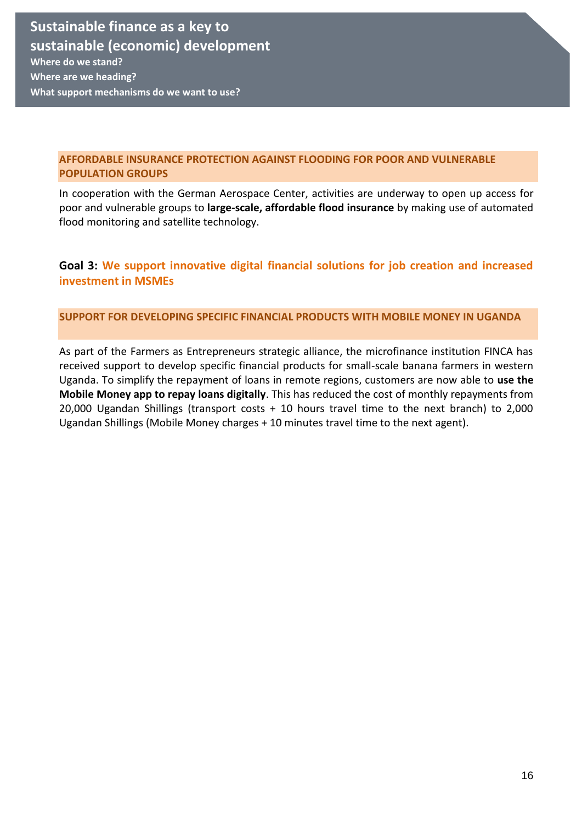#### **AFFORDABLE INSURANCE PROTECTION AGAINST FLOODING FOR POOR AND VULNERABLE POPULATION GROUPS**

In cooperation with the German Aerospace Center, activities are underway to open up access for poor and vulnerable groups to **large-scale, affordable flood insurance** by making use of automated flood monitoring and satellite technology.

# **Goal 3: We support innovative digital financial solutions for job creation and increased investment in MSMEs**

#### **SUPPORT FOR DEVELOPING SPECIFIC FINANCIAL PRODUCTS WITH MOBILE MONEY IN UGANDA**

As part of the Farmers as Entrepreneurs strategic alliance, the microfinance institution FINCA has received support to develop specific financial products for small-scale banana farmers in western Uganda. To simplify the repayment of loans in remote regions, customers are now able to **use the Mobile Money app to repay loans digitally**. This has reduced the cost of monthly repayments from 20,000 Ugandan Shillings (transport costs + 10 hours travel time to the next branch) to 2,000 Ugandan Shillings (Mobile Money charges + 10 minutes travel time to the next agent).